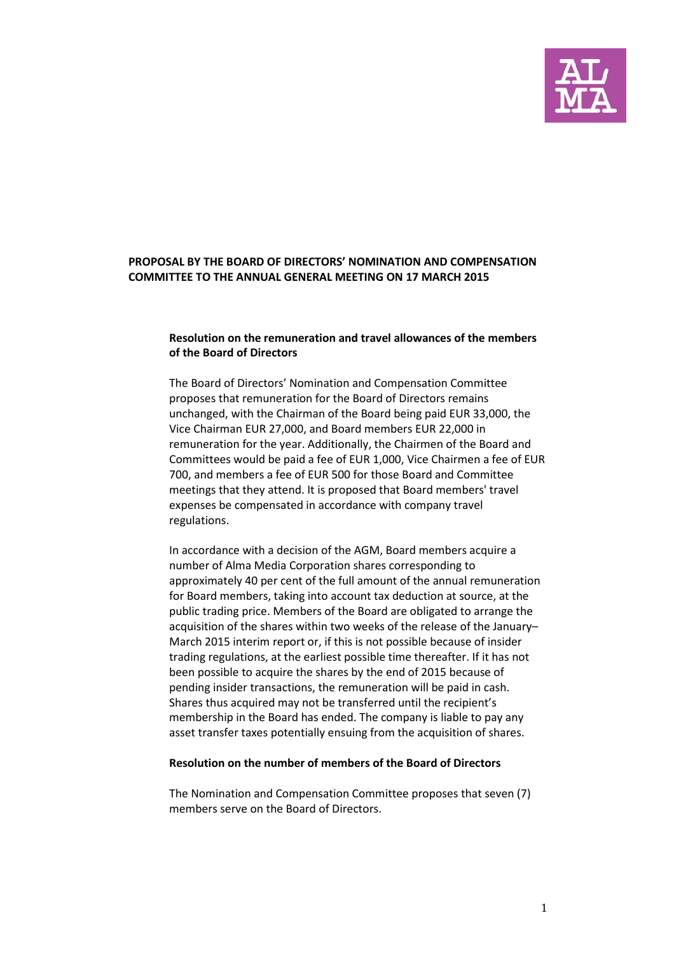

## **PROPOSAL BY THE BOARD OF DIRECTORS' NOMINATION AND COMPENSATION COMMITTEE TO THE ANNUAL GENERAL MEETING ON 17 MARCH 2015**

## **Resolution on the remuneration and travel allowances of the members of the Board of Directors**

The Board of Directors' Nomination and Compensation Committee proposes that remuneration for the Board of Directors remains unchanged, with the Chairman of the Board being paid EUR 33,000, the Vice Chairman EUR 27,000, and Board members EUR 22,000 in remuneration for the year. Additionally, the Chairmen of the Board and Committees would be paid a fee of EUR 1,000, Vice Chairmen a fee of EUR 700, and members a fee of EUR 500 for those Board and Committee meetings that they attend. It is proposed that Board members' travel expenses be compensated in accordance with company travel regulations.

In accordance with a decision of the AGM, Board members acquire a number of Alma Media Corporation shares corresponding to approximately 40 per cent of the full amount of the annual remuneration for Board members, taking into account tax deduction at source, at the public trading price. Members of the Board are obligated to arrange the acquisition of the shares within two weeks of the release of the January– March 2015 interim report or, if this is not possible because of insider trading regulations, at the earliest possible time thereafter. If it has not been possible to acquire the shares by the end of 2015 because of pending insider transactions, the remuneration will be paid in cash. Shares thus acquired may not be transferred until the recipient's membership in the Board has ended. The company is liable to pay any asset transfer taxes potentially ensuing from the acquisition of shares.

## **Resolution on the number of members of the Board of Directors**

The Nomination and Compensation Committee proposes that seven (7) members serve on the Board of Directors.